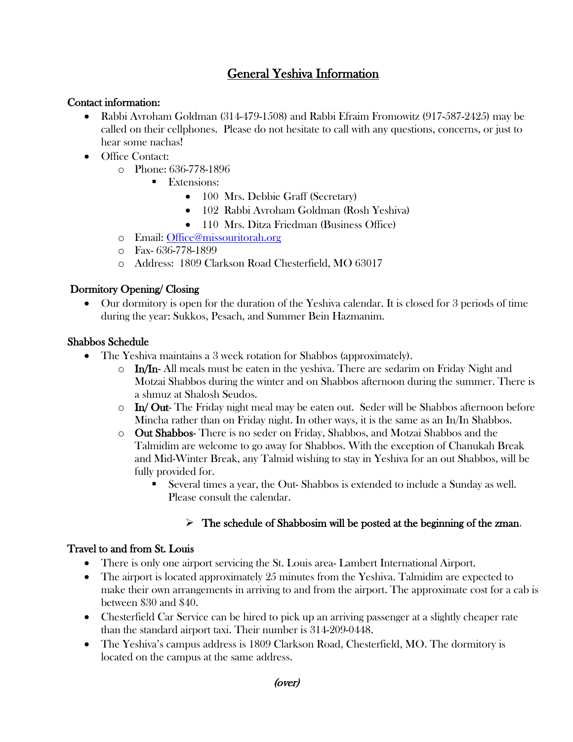# General Yeshiva Information

#### Contact information:

- Rabbi Avroham Goldman (314-479-1508) and Rabbi Efraim Fromowitz (917-587-2425) may be called on their cellphones. Please do not hesitate to call with any questions, concerns, or just to hear some nachas!
- Office Contact:
	- o Phone: 636-778-1896
		- Extensions:
			- 100 Mrs. Debbie Graff (Secretary)
			- 102 Rabbi Avroham Goldman (Rosh Yeshiva)
			- 110 Mrs. Ditza Friedman (Business Office)
	- o Email: [Office@missouritorah.org](mailto:Office@missouritorah.org)
	- o Fax- 636-778-1899
	- o Address: 1809 Clarkson Road Chesterfield, MO 63017

# Dormitory Opening/ Closing

• Our dormitory is open for the duration of the Yeshiva calendar. It is closed for 3 periods of time during the year: Sukkos, Pesach, and Summer Bein Hazmanim.

### Shabbos Schedule

- The Yeshiva maintains a 3 week rotation for Shabbos (approximately).
	- $\circ$  In/In- All meals must be eaten in the yeshiva. There are sedarim on Friday Night and Motzai Shabbos during the winter and on Shabbos afternoon during the summer. There is a shmuz at Shalosh Seudos.
	- In/ Out- The Friday night meal may be eaten out. Seder will be Shabbos afternoon before Mincha rather than on Friday night. In other ways, it is the same as an In/In Shabbos.
	- o Out Shabbos- There is no seder on Friday, Shabbos, and Motzai Shabbos and the Talmidim are welcome to go away for Shabbos. With the exception of Chanukah Break and Mid-Winter Break, any Talmid wishing to stay in Yeshiva for an out Shabbos, will be fully provided for.
		- Several times a year, the Out- Shabbos is extended to include a Sunday as well. Please consult the calendar.

# $\triangleright$  The schedule of Shabbosim will be posted at the beginning of the zman.

#### Travel to and from St. Louis

- There is only one airport servicing the St. Louis area- Lambert International Airport.
- The airport is located approximately 25 minutes from the Yeshiva. Talmidim are expected to make their own arrangements in arriving to and from the airport. The approximate cost for a cab is between \$30 and \$40.
- Chesterfield Car Service can be hired to pick up an arriving passenger at a slightly cheaper rate than the standard airport taxi. Their number is 314-209-0448.
- The Yeshiva's campus address is 1809 Clarkson Road, Chesterfield, MO. The dormitory is located on the campus at the same address.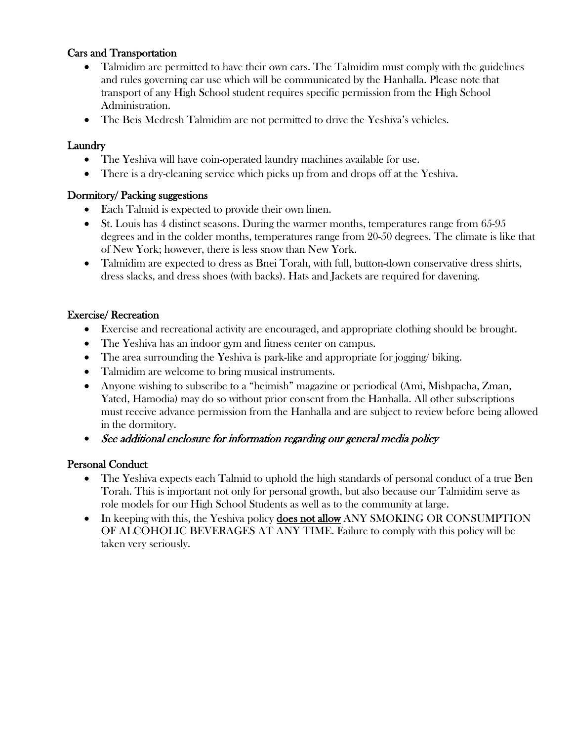## Cars and Transportation

- Talmidim are permitted to have their own cars. The Talmidim must comply with the guidelines and rules governing car use which will be communicated by the Hanhalla. Please note that transport of any High School student requires specific permission from the High School Administration.
- The Beis Medresh Talmidim are not permitted to drive the Yeshiva's vehicles.

### **Laundry**

- The Yeshiva will have coin-operated laundry machines available for use.
- There is a dry-cleaning service which picks up from and drops off at the Yeshiva.

### Dormitory/ Packing suggestions

- Each Talmid is expected to provide their own linen.
- St. Louis has 4 distinct seasons. During the warmer months, temperatures range from 65-95 degrees and in the colder months, temperatures range from 20-50 degrees. The climate is like that of New York; however, there is less snow than New York.
- Talmidim are expected to dress as Bnei Torah, with full, button-down conservative dress shirts, dress slacks, and dress shoes (with backs). Hats and Jackets are required for davening.

### Exercise/ Recreation

- Exercise and recreational activity are encouraged, and appropriate clothing should be brought.
- The Yeshiva has an indoor gym and fitness center on campus.
- The area surrounding the Yeshiva is park-like and appropriate for jogging/ biking.
- Talmidim are welcome to bring musical instruments.
- Anyone wishing to subscribe to a "heimish" magazine or periodical (Ami, Mishpacha, Zman, Yated, Hamodia) may do so without prior consent from the Hanhalla. All other subscriptions must receive advance permission from the Hanhalla and are subject to review before being allowed in the dormitory.
- See additional enclosure for information regarding our general media policy

#### Personal Conduct

- The Yeshiva expects each Talmid to uphold the high standards of personal conduct of a true Ben Torah. This is important not only for personal growth, but also because our Talmidim serve as role models for our High School Students as well as to the community at large.
- In keeping with this, the Yeshiva policy **does not allow** ANY SMOKING OR CONSUMPTION OF ALCOHOLIC BEVERAGES AT ANY TIME. Failure to comply with this policy will be taken very seriously.